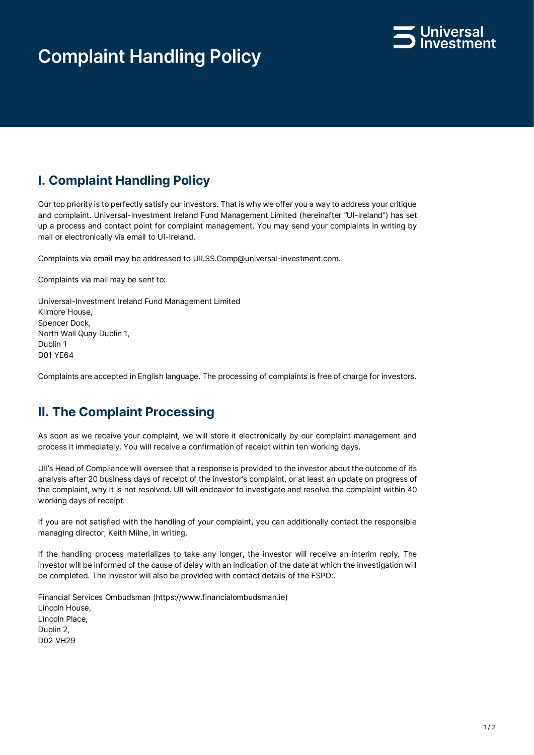# **Complaint Handling Policy**



## **I. Complaint Handling Policy**

Our top priority is to perfectly satisfy our investors. That is why we offer you a way to address your critique and complaint. Universal-Investment Ireland Fund Management Limited (hereinafter "UI-Ireland") has set up a process and contact point for complaint management. You may send your complaints in writing by mail or electronically via email to UI-Ireland.

Complaints via email may be addressed to UII.SS.Comp@universal-investment.com.

Complaints via mail may be sent to:

Universal-Investment Ireland Fund Management Limited Kilmore House, Spencer Dock, North Wall Quay Dublin 1, Dublin 1 D01 YE64

Complaints are accepted in English language. The processing of complaints is free of charge for investors.

#### **II. The Complaint Processing**

As soon as we receive your complaint, we will store it electronically by our complaint management and process it immediately. You will receive a confirmation of receipt within ten working days.

UII's Head of Compliance will oversee that a response is provided to the investor about the outcome of its analysis after 20 business days of receipt of the investor's complaint, or at least an update on progress of the complaint, why it is not resolved. UII will endeavor to investigate and resolve the complaint within 40 working days of receipt.

If you are not satisfied with the handling of your complaint, you can additionally contact the responsible managing director, Keith Milne, in writing.

If the handling process materializes to take any longer, the investor will receive an interim reply. The investor will be informed of the cause of delay with an indication of the date at which the investigation will be completed. The investor will also be provided with contact details of the FSPO:.

Financial Services Ombudsman (https://www.financialombudsman.ie) Lincoln House, Lincoln Place, Dublin 2, D02 VH29